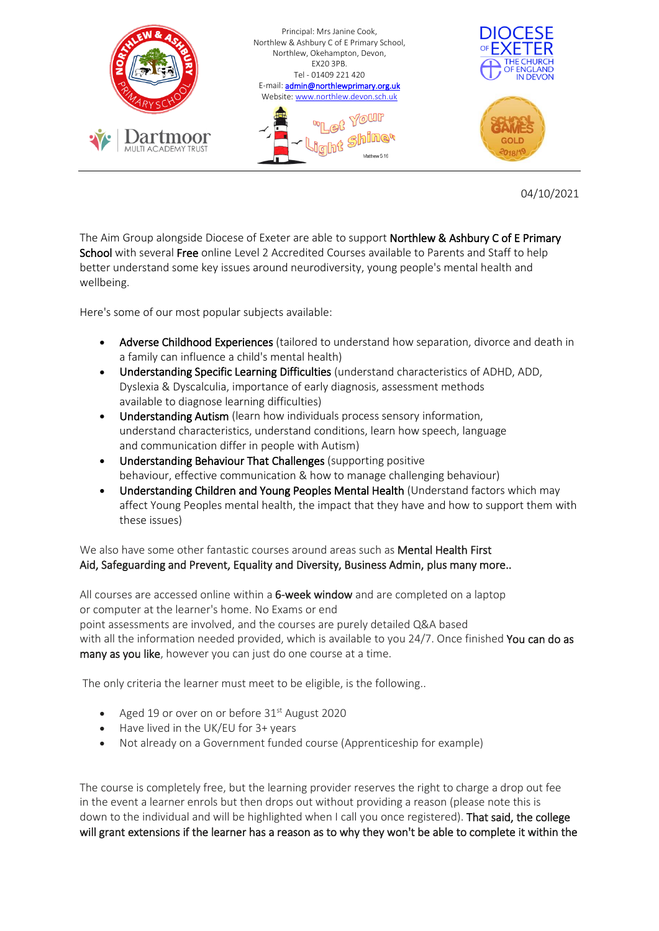

04/10/2021

The Aim Group alongside Diocese of Exeter are able to support **Northlew & Ashbury C of E Primary** School with several Free online Level 2 Accredited Courses available to Parents and Staff to help better understand some key issues around neurodiversity, young people's mental health and wellbeing.

Here's some of our most popular subjects available:

- Adverse Childhood Experiences (tailored to understand how separation, divorce and death in a family can influence a child's mental health)
- Understanding Specific Learning Difficulties (understand characteristics of ADHD, ADD, Dyslexia & Dyscalculia, importance of early diagnosis, assessment methods available to diagnose learning difficulties)
- Understanding Autism (learn how individuals process sensory information, understand characteristics, understand conditions, learn how speech, language and communication differ in people with Autism)
- Understanding Behaviour That Challenges (supporting positive behaviour, effective communication & how to manage challenging behaviour)
- Understanding Children and Young Peoples Mental Health (Understand factors which may affect Young Peoples mental health, the impact that they have and how to support them with these issues)

We also have some other fantastic courses around areas such as **Mental Health First** Aid, Safeguarding and Prevent, Equality and Diversity, Business Admin, plus many more..

All courses are accessed online within a 6-week window and are completed on a laptop or computer at the learner's home. No Exams or end point assessments are involved, and the courses are purely detailed Q&A based with all the information needed provided, which is available to you 24/7. Once finished You can do as many as you like, however you can just do one course at a time.

The only criteria the learner must meet to be eligible, is the following..

- Aged 19 or over on or before  $31<sup>st</sup>$  August 2020
- Have lived in the UK/EU for 3+ years
- Not already on a Government funded course (Apprenticeship for example)

The course is completely free, but the learning provider reserves the right to charge a drop out fee in the event a learner enrols but then drops out without providing a reason (please note this is down to the individual and will be highlighted when I call you once registered). That said, the college will grant extensions if the learner has a reason as to why they won't be able to complete it within the